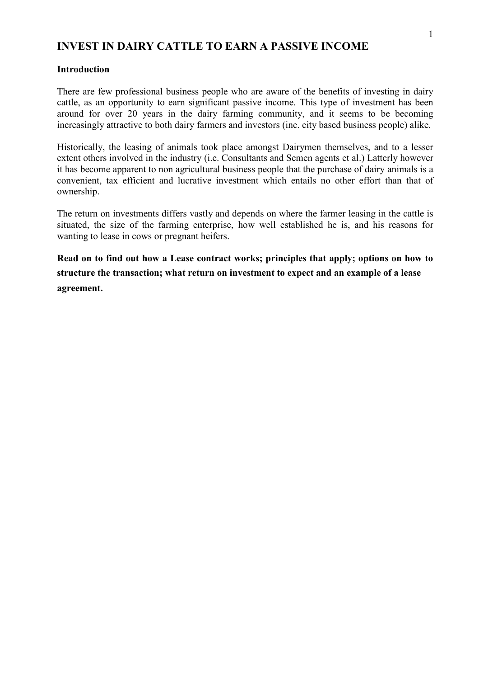## **INVEST IN DAIRY CATTLE TO EARN A PASSIVE INCOME**

## **Introduction**

There are few professional business people who are aware of the benefits of investing in dairy cattle, as an opportunity to earn significant passive income. This type of investment has been around for over 20 years in the dairy farming community, and it seems to be becoming increasingly attractive to both dairy farmers and investors (inc. city based business people) alike.

Historically, the leasing of animals took place amongst Dairymen themselves, and to a lesser extent others involved in the industry (i.e. Consultants and Semen agents et al.) Latterly however it has become apparent to non agricultural business people that the purchase of dairy animals is a convenient, tax efficient and lucrative investment which entails no other effort than that of ownership.

The return on investments differs vastly and depends on where the farmer leasing in the cattle is situated, the size of the farming enterprise, how well established he is, and his reasons for wanting to lease in cows or pregnant heifers.

**Read on to find out how a Lease contract works; principles that apply; options on how to structure the transaction; what return on investment to expect and an example of a lease agreement.**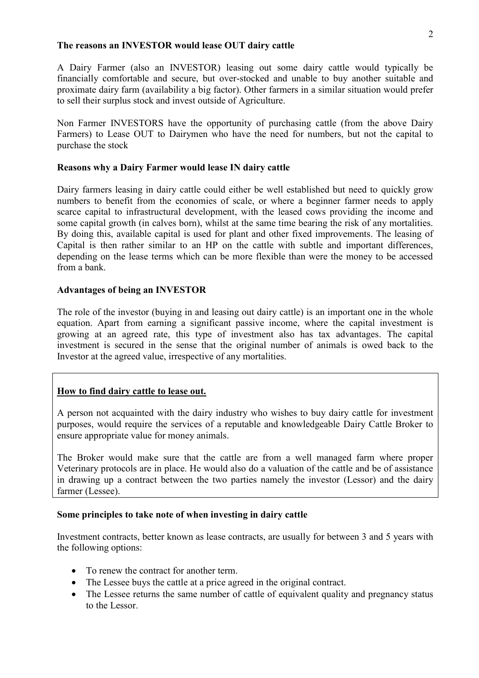## **The reasons an INVESTOR would lease OUT dairy cattle**

A Dairy Farmer (also an INVESTOR) leasing out some dairy cattle would typically be financially comfortable and secure, but over-stocked and unable to buy another suitable and proximate dairy farm (availability a big factor). Other farmers in a similar situation would prefer to sell their surplus stock and invest outside of Agriculture.

Non Farmer INVESTORS have the opportunity of purchasing cattle (from the above Dairy Farmers) to Lease OUT to Dairymen who have the need for numbers, but not the capital to purchase the stock

## **Reasons why a Dairy Farmer would lease IN dairy cattle**

Dairy farmers leasing in dairy cattle could either be well established but need to quickly grow numbers to benefit from the economies of scale, or where a beginner farmer needs to apply scarce capital to infrastructural development, with the leased cows providing the income and some capital growth (in calves born), whilst at the same time bearing the risk of any mortalities. By doing this, available capital is used for plant and other fixed improvements. The leasing of Capital is then rather similar to an HP on the cattle with subtle and important differences, depending on the lease terms which can be more flexible than were the money to be accessed from a bank.

## **Advantages of being an INVESTOR**

The role of the investor (buying in and leasing out dairy cattle) is an important one in the whole equation. Apart from earning a significant passive income, where the capital investment is growing at an agreed rate, this type of investment also has tax advantages. The capital investment is secured in the sense that the original number of animals is owed back to the Investor at the agreed value, irrespective of any mortalities.

## **How to find dairy cattle to lease out.**

A person not acquainted with the dairy industry who wishes to buy dairy cattle for investment purposes, would require the services of a reputable and knowledgeable Dairy Cattle Broker to ensure appropriate value for money animals.

The Broker would make sure that the cattle are from a well managed farm where proper Veterinary protocols are in place. He would also do a valuation of the cattle and be of assistance in drawing up a contract between the two parties namely the investor (Lessor) and the dairy farmer (Lessee).

## **Some principles to take note of when investing in dairy cattle**

Investment contracts, better known as lease contracts, are usually for between 3 and 5 years with the following options:

- To renew the contract for another term.
- The Lessee buys the cattle at a price agreed in the original contract.
- The Lessee returns the same number of cattle of equivalent quality and pregnancy status to the Lessor.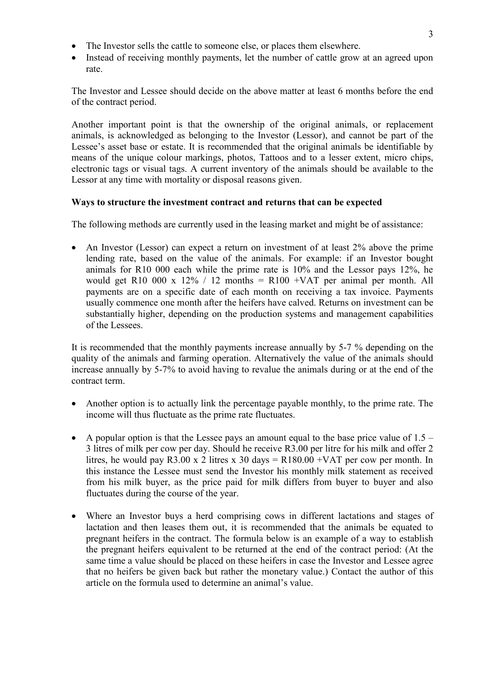- The Investor sells the cattle to someone else, or places them elsewhere.
- Instead of receiving monthly payments, let the number of cattle grow at an agreed upon rate.

The Investor and Lessee should decide on the above matter at least 6 months before the end of the contract period.

Another important point is that the ownership of the original animals, or replacement animals, is acknowledged as belonging to the Investor (Lessor), and cannot be part of the Lessee's asset base or estate. It is recommended that the original animals be identifiable by means of the unique colour markings, photos, Tattoos and to a lesser extent, micro chips, electronic tags or visual tags. A current inventory of the animals should be available to the Lessor at any time with mortality or disposal reasons given.

## **Ways to structure the investment contract and returns that can be expected**

The following methods are currently used in the leasing market and might be of assistance:

• An Investor (Lessor) can expect a return on investment of at least 2% above the prime lending rate, based on the value of the animals. For example: if an Investor bought animals for R10 000 each while the prime rate is 10% and the Lessor pays 12%, he would get R10 000 x 12% / 12 months = R100 +VAT per animal per month. All payments are on a specific date of each month on receiving a tax invoice. Payments usually commence one month after the heifers have calved. Returns on investment can be substantially higher, depending on the production systems and management capabilities of the Lessees.

It is recommended that the monthly payments increase annually by 5-7 % depending on the quality of the animals and farming operation. Alternatively the value of the animals should increase annually by 5-7% to avoid having to revalue the animals during or at the end of the contract term.

- Another option is to actually link the percentage payable monthly, to the prime rate. The income will thus fluctuate as the prime rate fluctuates.
- A popular option is that the Lessee pays an amount equal to the base price value of  $1.5 -$ 3 litres of milk per cow per day. Should he receive R3.00 per litre for his milk and offer 2 litres, he would pay R3.00 x 2 litres x 30 days = R180.00 +VAT per cow per month. In this instance the Lessee must send the Investor his monthly milk statement as received from his milk buyer, as the price paid for milk differs from buyer to buyer and also fluctuates during the course of the year.
- Where an Investor buys a herd comprising cows in different lactations and stages of lactation and then leases them out, it is recommended that the animals be equated to pregnant heifers in the contract. The formula below is an example of a way to establish the pregnant heifers equivalent to be returned at the end of the contract period: (At the same time a value should be placed on these heifers in case the Investor and Lessee agree that no heifers be given back but rather the monetary value.) Contact the author of this article on the formula used to determine an animal's value.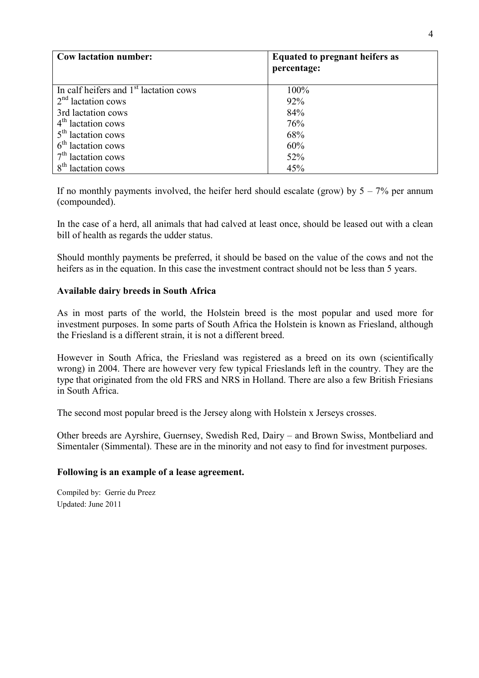| <b>Cow lactation number:</b>                       | <b>Equated to pregnant heifers as</b><br>percentage: |
|----------------------------------------------------|------------------------------------------------------|
| In calf heifers and 1 <sup>st</sup> lactation cows | 100%                                                 |
| $2nd$ lactation cows                               | 92%                                                  |
| 3rd lactation cows                                 | 84%                                                  |
| $4th$ lactation cows                               | 76%                                                  |
| $5th$ lactation cows                               | 68%                                                  |
| $6th$ lactation cows                               | 60%                                                  |
| $7th$ lactation cows                               | 52%                                                  |
| $8^{th}$<br>lactation cows                         | 45%                                                  |

If no monthly payments involved, the heifer herd should escalate (grow) by  $5 - 7\%$  per annum (compounded).

In the case of a herd, all animals that had calved at least once, should be leased out with a clean bill of health as regards the udder status.

Should monthly payments be preferred, it should be based on the value of the cows and not the heifers as in the equation. In this case the investment contract should not be less than 5 years.

## **Available dairy breeds in South Africa**

As in most parts of the world, the Holstein breed is the most popular and used more for investment purposes. In some parts of South Africa the Holstein is known as Friesland, although the Friesland is a different strain, it is not a different breed.

However in South Africa, the Friesland was registered as a breed on its own (scientifically wrong) in 2004. There are however very few typical Frieslands left in the country. They are the type that originated from the old FRS and NRS in Holland. There are also a few British Friesians in South Africa.

The second most popular breed is the Jersey along with Holstein x Jerseys crosses.

Other breeds are Ayrshire, Guernsey, Swedish Red, Dairy – and Brown Swiss, Montbeliard and Simentaler (Simmental). These are in the minority and not easy to find for investment purposes.

## **Following is an example of a lease agreement.**

Compiled by: Gerrie du Preez Updated: June 2011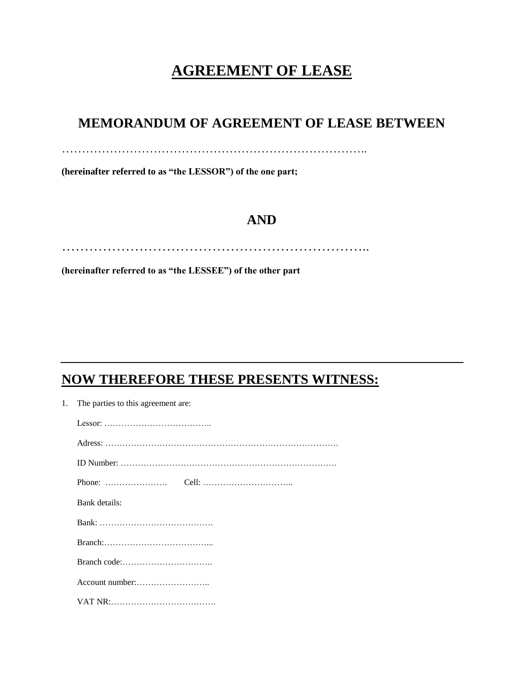# **AGREEMENT OF LEASE**

# **MEMORANDUM OF AGREEMENT OF LEASE BETWEEN**

…………………………………………………………………..

**(hereinafter referred to as "the LESSOR") of the one part;**

# **AND**

…………………………………………………………..

**(hereinafter referred to as "the LESSEE") of the other part**

# **NOW THEREFORE THESE PRESENTS WITNESS:**

1. The parties to this agreement are:

| Lessor: $\dots \dots \dots \dots \dots \dots \dots \dots \dots \dots \dots$ |
|-----------------------------------------------------------------------------|
|                                                                             |
|                                                                             |
|                                                                             |
| Bank details:                                                               |
|                                                                             |
|                                                                             |
|                                                                             |
|                                                                             |
|                                                                             |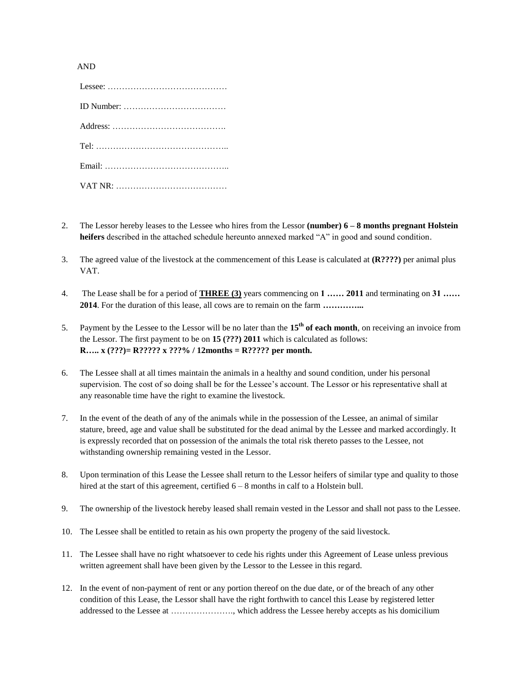#### AND

| ID Number: $\dots \dots \dots \dots \dots \dots \dots \dots \dots \dots$ |
|--------------------------------------------------------------------------|
|                                                                          |
|                                                                          |
|                                                                          |
|                                                                          |

- 2. The Lessor hereby leases to the Lessee who hires from the Lessor **(number) 6 – 8 months pregnant Holstein heifers** described in the attached schedule hereunto annexed marked "A" in good and sound condition.
- 3. The agreed value of the livestock at the commencement of this Lease is calculated at **(R????)** per animal plus VAT.
- 4. The Lease shall be for a period of **THREE (3)** years commencing on **1 …… 2011** and terminating on **31 …… 2014**. For the duration of this lease, all cows are to remain on the farm **…………...**
- 5. Payment by the Lessee to the Lessor will be no later than the **15th of each month**, on receiving an invoice from the Lessor. The first payment to be on **15 (???) 2011** which is calculated as follows: **R….. x (???)= R????? x ???% / 12months = R????? per month.**
- 6. The Lessee shall at all times maintain the animals in a healthy and sound condition, under his personal supervision. The cost of so doing shall be for the Lessee's account. The Lessor or his representative shall at any reasonable time have the right to examine the livestock.
- 7. In the event of the death of any of the animals while in the possession of the Lessee, an animal of similar stature, breed, age and value shall be substituted for the dead animal by the Lessee and marked accordingly. It is expressly recorded that on possession of the animals the total risk thereto passes to the Lessee, not withstanding ownership remaining vested in the Lessor.
- 8. Upon termination of this Lease the Lessee shall return to the Lessor heifers of similar type and quality to those hired at the start of this agreement, certified  $6 - 8$  months in calf to a Holstein bull.
- 9. The ownership of the livestock hereby leased shall remain vested in the Lessor and shall not pass to the Lessee.
- 10. The Lessee shall be entitled to retain as his own property the progeny of the said livestock.
- 11. The Lessee shall have no right whatsoever to cede his rights under this Agreement of Lease unless previous written agreement shall have been given by the Lessor to the Lessee in this regard.
- 12. In the event of non-payment of rent or any portion thereof on the due date, or of the breach of any other condition of this Lease, the Lessor shall have the right forthwith to cancel this Lease by registered letter addressed to the Lessee at …………………., which address the Lessee hereby accepts as his domicilium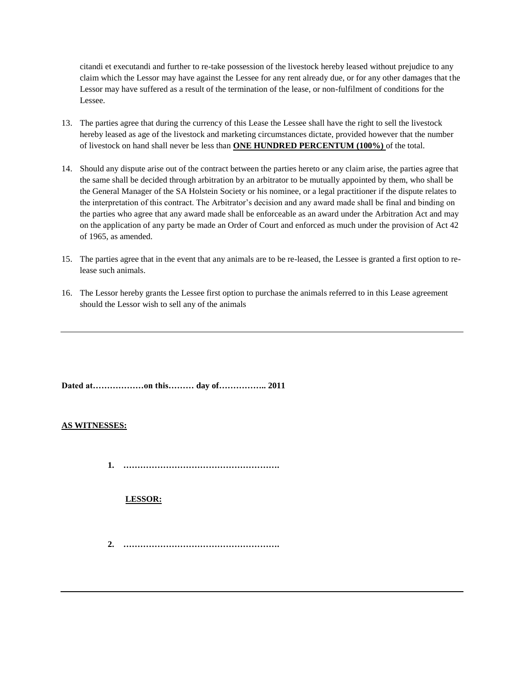citandi et executandi and further to re-take possession of the livestock hereby leased without prejudice to any claim which the Lessor may have against the Lessee for any rent already due, or for any other damages that the Lessor may have suffered as a result of the termination of the lease, or non-fulfilment of conditions for the Lessee.

- 13. The parties agree that during the currency of this Lease the Lessee shall have the right to sell the livestock hereby leased as age of the livestock and marketing circumstances dictate, provided however that the number of livestock on hand shall never be less than **ONE HUNDRED PERCENTUM (100%)** of the total.
- 14. Should any dispute arise out of the contract between the parties hereto or any claim arise, the parties agree that the same shall be decided through arbitration by an arbitrator to be mutually appointed by them, who shall be the General Manager of the SA Holstein Society or his nominee, or a legal practitioner if the dispute relates to the interpretation of this contract. The Arbitrator's decision and any award made shall be final and binding on the parties who agree that any award made shall be enforceable as an award under the Arbitration Act and may on the application of any party be made an Order of Court and enforced as much under the provision of Act 42 of 1965, as amended.
- 15. The parties agree that in the event that any animals are to be re-leased, the Lessee is granted a first option to release such animals.
- 16. The Lessor hereby grants the Lessee first option to purchase the animals referred to in this Lease agreement should the Lessor wish to sell any of the animals

**Dated at………………on this……… day of…………….. 2011**

### **AS WITNESSES:**

**1. ……………………………………………….**

### **LESSOR:**

**2. ……………………………………………….**